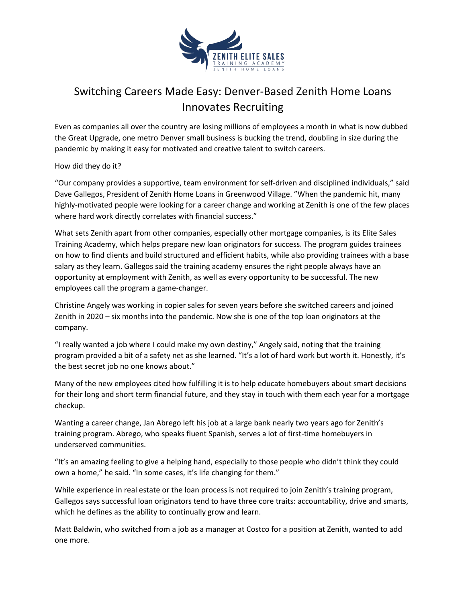

## Switching Careers Made Easy: Denver-Based Zenith Home Loans Innovates Recruiting

Even as companies all over the country are losing millions of employees a month in what is now dubbed the Great Upgrade, one metro Denver small business is bucking the trend, doubling in size during the pandemic by making it easy for motivated and creative talent to switch careers.

How did they do it?

"Our company provides a supportive, team environment for self-driven and disciplined individuals," said Dave Gallegos, President of Zenith Home Loans in Greenwood Village. "When the pandemic hit, many highly-motivated people were looking for a career change and working at Zenith is one of the few places where hard work directly correlates with financial success."

What sets Zenith apart from other companies, especially other mortgage companies, is its Elite Sales Training Academy, which helps prepare new loan originators for success. The program guides trainees on how to find clients and build structured and efficient habits, while also providing trainees with a base salary as they learn. Gallegos said the training academy ensures the right people always have an opportunity at employment with Zenith, as well as every opportunity to be successful. The new employees call the program a game-changer.

Christine Angely was working in copier sales for seven years before she switched careers and joined Zenith in 2020 – six months into the pandemic. Now she is one of the top loan originators at the company.

"I really wanted a job where I could make my own destiny," Angely said, noting that the training program provided a bit of a safety net as she learned. "It's a lot of hard work but worth it. Honestly, it's the best secret job no one knows about."

Many of the new employees cited how fulfilling it is to help educate homebuyers about smart decisions for their long and short term financial future, and they stay in touch with them each year for a mortgage checkup.

Wanting a career change, Jan Abrego left his job at a large bank nearly two years ago for Zenith's training program. Abrego, who speaks fluent Spanish, serves a lot of first-time homebuyers in underserved communities.

"It's an amazing feeling to give a helping hand, especially to those people who didn't think they could own a home," he said. "In some cases, it's life changing for them."

While experience in real estate or the loan process is not required to join Zenith's training program, Gallegos says successful loan originators tend to have three core traits: accountability, drive and smarts, which he defines as the ability to continually grow and learn.

Matt Baldwin, who switched from a job as a manager at Costco for a position at Zenith, wanted to add one more.